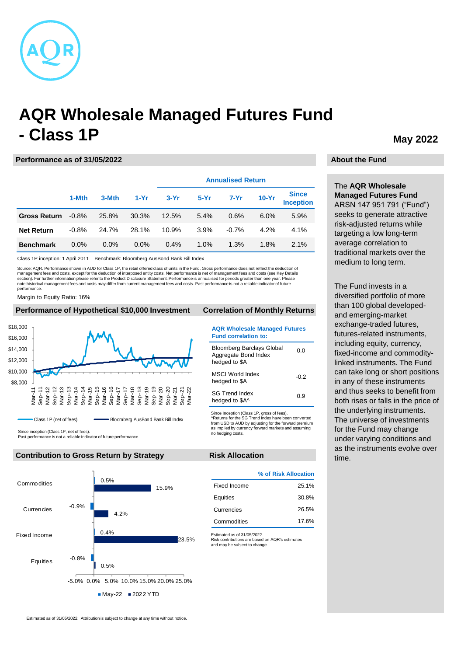

# **AQR Wholesale Managed Futures Fund - Class 1P**

#### **Performance as of 31/05/2022**

|                     |          |       |        | <b>Annualised Return</b> |        |         |         |                                  |
|---------------------|----------|-------|--------|--------------------------|--------|---------|---------|----------------------------------|
|                     | 1-Mth    | 3-Mth | $1-Yr$ | $3-Yr$                   | $5-Yr$ | $7-Yr$  | $10-Yr$ | <b>Since</b><br><b>Inception</b> |
| <b>Gross Return</b> | $-0.8\%$ | 25.8% | 30.3%  | 12.5%                    | 5.4%   | 0.6%    | 6.0%    | 5.9%                             |
| <b>Net Return</b>   | $-0.8%$  | 24.7% | 28.1%  | 10.9%                    | 3.9%   | $-0.7%$ | 4.2%    | 4.1%                             |
| <b>Benchmark</b>    | $0.0\%$  | 0.0%  | 0.0%   | 0.4%                     | 1.0%   | 1.3%    | 1.8%    | 2.1%                             |

Class 1P inception: 1 April 2011 Benchmark: Bloomberg AusBond Bank Bill Index

Source: AQR. Performance shown in AUD for Class 1P, the retail offered class of units in the Fund. Gross performance does not reflect the deduction of<br>management fees and costs, except for the deduction of interposed entit section). For further information please refer to the Product Disclosure Statement. Performance is annualised for periods greater than one year. Please note historical management fees and costs may differ from current management fees and costs. Past performance is not a reliable indicator of future performance.

Margin to Equity Ratio: 16%

| Performance of Hypothetical \$10,000 Investment                                                                                  | <b>Correlation of Monthly Returns</b>                                                                                                                       |  |  |
|----------------------------------------------------------------------------------------------------------------------------------|-------------------------------------------------------------------------------------------------------------------------------------------------------------|--|--|
| \$18,000<br>\$16,000                                                                                                             | <b>AQR Wholesale Managed Futures</b><br><b>Fund correlation to:</b>                                                                                         |  |  |
| \$14,000<br>\$12,000                                                                                                             | <b>Bloomberg Barclays Global</b><br>0.0<br>Aggregate Bond Index<br>hedged to \$A                                                                            |  |  |
| \$10,000<br>\$8,000                                                                                                              | MSCI World Index<br>$-0.2$<br>hedged to \$A                                                                                                                 |  |  |
| Nar<br><br>န္မ<br>ခဲ့<br>ခဲ့<br>န္တ<br>Nar<br>ခဲ့<br>န္တ<br>န္တ<br>န္တ<br>ခဲ့<br>ā<br>Nā<br>š<br>∖ā<br>®<br>∕a<br>Σã<br>ᡕᢐ<br>۵k | <b>SG Trend Index</b><br>0.9<br>hedged to \$A^                                                                                                              |  |  |
| Bloomberg AusBond Bank Bill Index<br>Class 1P (net of fees)                                                                      | Since Inception (Class 1P, gross of fees).<br>^Returns for the SG Trend Index have been converted<br>from LICD to ALID by adjusting for the forward promium |  |  |

Since inception (Class 1P, net of fees).

Past performance is not a reliable indicator of future performance.

### **Contribution to Gross Return by Strategy The Risk Allocation**



# **Wholesale Managed Futures**

| <b>Fund correlation to:</b>                                               |      |
|---------------------------------------------------------------------------|------|
| <b>Bloomberg Barclays Global</b><br>Aggregate Bond Index<br>hedged to \$A | 0 O  |
| MSCI World Index<br>hedged to \$A                                         | -0.2 |
| SG Trend Index<br>hedged to \$A^                                          | ი 9  |

Since Inception (Class 1P, gross of fees). ^Returns for the SG Trend Index have been converted from USD to AUD by adjusting for the forward premium as implied by currency forward markets and assuming no hedging costs.

#### **Risk Allocation**

**% of Risk Allocation** Fixed Income 25.1% Equities 30.8% Currencies 26.5% Commodities 17.6%

Estimated as of 31/05/2022. Risk contributions are based on AQR's estimates and may be subject to change.

## **May 2022**

### **About the Fund**

The **AQR Wholesale Managed Futures Fund**  ARSN 147 951 791 ("Fund") seeks to generate attractive risk-adjusted returns while targeting a low long-term average correlation to traditional markets over the medium to long term.

The Fund invests in a diversified portfolio of more than 100 global developedand emerging-market exchange-traded futures, futures-related instruments, including equity, currency, fixed-income and commoditylinked instruments. The Fund can take long or short positions in any of these instruments and thus seeks to benefit from both rises or falls in the price of the underlying instruments. The universe of investments for the Fund may change under varying conditions and as the instruments evolve over